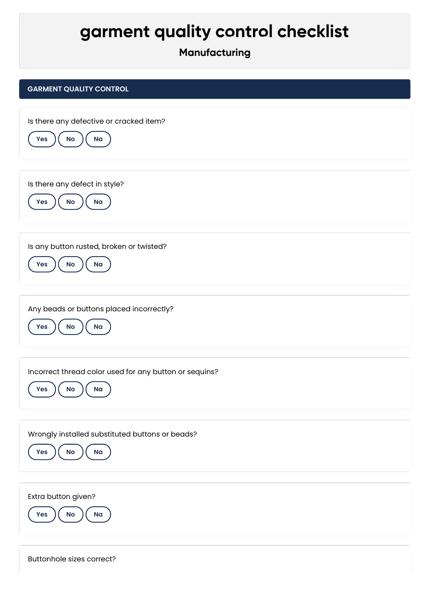## **garment quality control checklist**

## **Manufacturing**

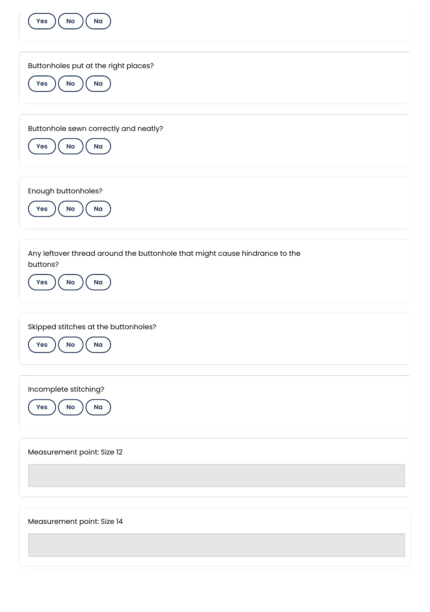| Na<br>No<br>Yes                                                                                                       |
|-----------------------------------------------------------------------------------------------------------------------|
| Buttonholes put at the right places?<br>Na<br>$\mathsf{No}$<br>Yes                                                    |
| Buttonhole sewn correctly and neatly?<br>Na<br>Yes<br>$\mathsf{No}$                                                   |
| Enough buttonholes?<br>Na<br>$\mathsf{No}$<br>Yes                                                                     |
| Any leftover thread around the buttonhole that might cause hindrance to the<br>buttons?<br>$\mathsf{No}$<br>Na<br>Yes |
| Skipped stitches at the buttonholes?<br>Na<br>Yes<br><b>No</b>                                                        |
| Incomplete stitching?<br>Na<br>Yes<br>$\mathsf{No}$                                                                   |
| Measurement point: Size 12                                                                                            |
| Measurement point: Size 14                                                                                            |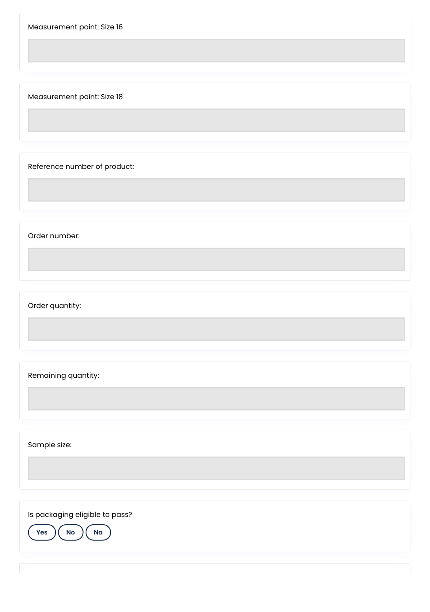Measurement point: Size 16

Measurement point: Size 18

Reference number of product:

Order number:

Order quantity:

Remaining quantity:

Sample size:

Is packaging eligible to pass?